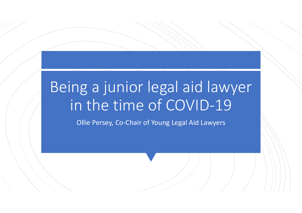# Being a junior legal aid lawyer in the time of COVID-19

Ollie Persey, Co-Chair of Young Legal Aid Lawyers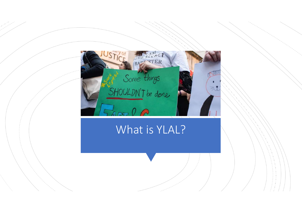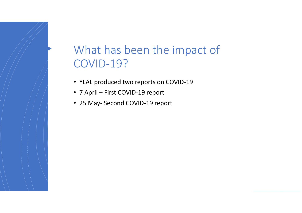# What has been the impact of COVID-19? What has been the impact of<br>COVID-19?<br>• YLAL produced two reports on COVID-19<br>• 7 April – First COVID-19 report<br>• 25 May- Second COVID-19 report What has been the impact of<br>COVID-19?<br>• YLAL produced two reports on COVID-19<br>• 7 April – First COVID-19 report<br>• 25 May- Second COVID-19 report

- YLAL produced two reports on COVID-19
- 
-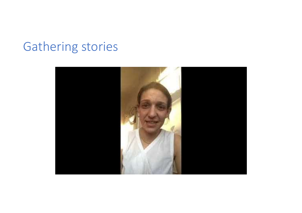## Gathering stories

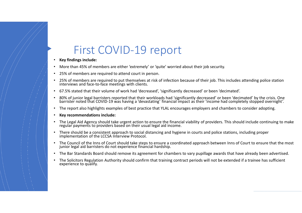### First COVID-19 report

- Key findings include:
- More than 45% of members are either 'extremely' or 'quite' worried about their job security.
- 25% of members are required to attend court in person.
- 25% of members are required to put themselves at risk of infection because of their job. This includes attending police station interviews and face-to-face meetings with clients.
- 67.5% stated that their volume of work had 'decreased', 'significantly decreased' or been 'decimated'.
- 
- 
- 
- FIRST COVID-19  $\Gamma$  PODT<br>
 Ny findings include:<br>
 My findings include the restrement of variable their job security.<br>
 More than 45% of members are either 'extremely' or 'quite' worried about their job security.<br>
 25%
- 
- 
- The Bar Standards Board should remove its agreement for chambers to vary pupillage awards that have already been advertised.
- The Solicitors Regulation Authority should confirm that training contract periods will not be extended if a trainee has sufficient experience to qualify.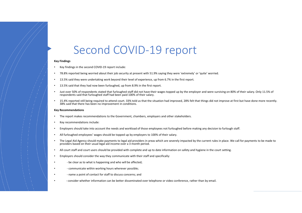### Second COVID-19 report

### Key Findings

- Key findings in the second COVID-19 report include:
- 78.8% reported being worried about their job security at present with 51.9% saying they were 'extremely' or 'quite' worried.
- 13.5% said they were undertaking work beyond their level of experience, up from 6.7% in the first report.
- 13.5% said that they had now been furloughed, up from 8.9% in the first report.
- Just over 50% of respondents stated that furloughed staff did not have their wages topped up by the employer and were surviving on 80% of their salary. Only 11.5% of respondents said that furloughed staff had been paid 100% of their salary. • 78.8% reported being worried about their job security at present with 51.9% saying they were "extremely" or '4<br>
• 13.5% said they were culocrataing work beyond their level of experience, up from 0.7% in the first report.
- 15.4% reported still being required to attend court. 33% told us that the situation had improved, 28% felt that things did not improve at first but have done more recently. 38% said that there has been no improvement in conditions.

### Key Recommendations

- The report makes recommendations to the Government, chambers, employers and other stakeholders.
- Key recommendations include:
- Employers should take into account the needs and workload of those employees not furloughed before making any decision to furlough staff.
- All furloughed employees' wages should be topped up by employers to 100% of their salary.
- **EVALUAT CONTROLLEY ACTIVE CONTROLLEY ALLEY INTERFERIT AID AGENCY CONDUCT AID AGENCY AID AGENCY AID AGENCY AID AGENCY AID AGENCY AID AGENCY AID AGENCY AID AGENCY AID AGENCY AID AGENCY AID AGENCY AID AGENCY AID AGENCY AID** providers based on their usual legal aid income over a 3 month period. • Instores 50% of respondents stated that furloughed staff had one have their wages topped up by the employer and were since<br>there were softs of respondents stated to attend court. 33% told us that the situation had improv
- All court staff and court users should be provided with complete and up to date information on safety and hygiene in the court setting.
- Employers should consider the way they communicate with their staff and specifically:
- 
- 
- 
-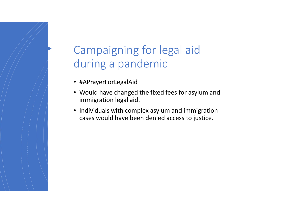### Campaigning for legal aid during a pandemic

- #APrayerForLegalAid
- Would have changed the fixed fees for asylum and immigration legal aid.
- Individuals with complex asylum and immigration cases would have been denied access to justice.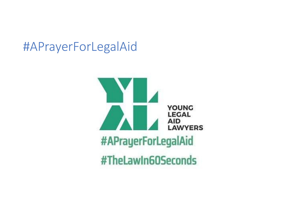### #APrayerForLegalAid